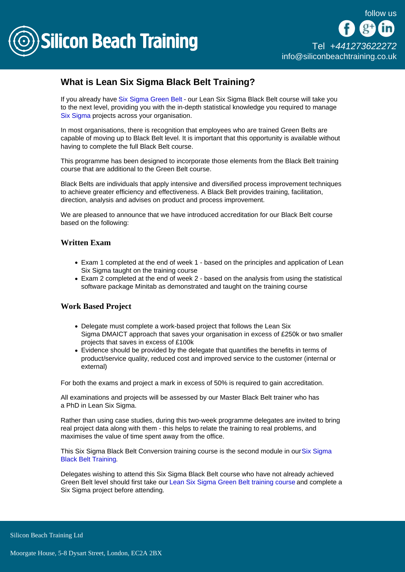

# What is Lean Six Sigma Black Belt Training?

If you already have [Six Sigma Green Belt](/lean-six-sigma-training/lean-six-sigma-green-belt) - our Lean Six Sigma Black Belt course will take you to the next level, providing you with the in-depth statistical knowledge you required to manage [Six Sigma](/lean-six-sigma-training) projects across your organisation.

In most organisations, there is recognition that employees who are trained Green Belts are capable of moving up to Black Belt level. It is important that this opportunity is available without having to complete the full Black Belt course.

This programme has been designed to incorporate those elements from the Black Belt training course that are additional to the Green Belt course.

Black Belts are individuals that apply intensive and diversified process improvement techniques to achieve greater efficiency and effectiveness. A Black Belt provides training, facilitation, direction, analysis and advises on product and process improvement.

We are pleased to announce that we have introduced accreditation for our Black Belt course based on the following:

#### Written Exam

- Exam 1 completed at the end of week 1 based on the principles and application of Lean Six Sigma taught on the training course
- Exam 2 completed at the end of week 2 based on the analysis from using the statistical software package Minitab as demonstrated and taught on the training course

## Work Based Project

- Delegate must complete a work-based project that follows the Lean Six Sigma DMAICT approach that saves your organisation in excess of £250k or two smaller projects that saves in excess of £100k
- Evidence should be provided by the delegate that quantifies the benefits in terms of product/service quality, reduced cost and improved service to the customer (internal or external)

For both the exams and project a mark in excess of 50% is required to gain accreditation.

All examinations and projects will be assessed by our Master Black Belt trainer who has a PhD in Lean Six Sigma.

Rather than using case studies, during this two-week programme delegates are invited to bring real project data along with them - this helps to relate the training to real problems, and maximises the value of time spent away from the office.

This [Six Sigma](/six-sigma-training/six-sigma-black-belt-certification) Black Belt Conversion training course is the second module in our Six Sigma [Black Belt Training.](/six-sigma-training/six-sigma-black-belt-certification)

Delegates wishing to attend this Six Sigma Black Belt course who have not already achieved Green Belt level should first take our [Lean Six Sigma Green Belt training course](/lean-six-sigma-training/lean-six-sigma-green-belt) and complete a Six Sigma project before attending.

Silicon Beach Training Ltd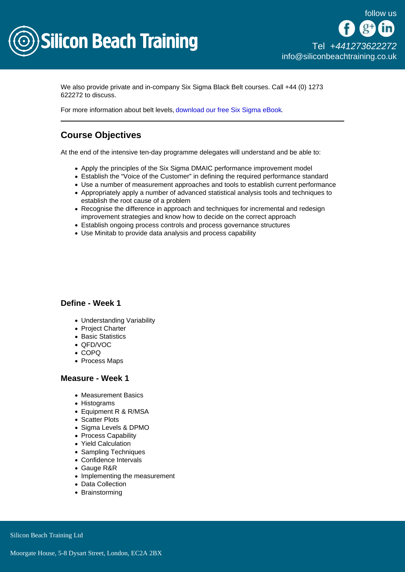

We also provide private and in-company Six Sigma Black Belt courses. Call +44 (0) 1273 622272 to discuss.

For more information about belt levels, [download our free Six Sigma eBook](/resources/what-is-six-sigma).

# Course Objectives

At the end of the intensive ten-day programme delegates will understand and be able to:

- Apply the principles of the Six Sigma DMAIC performance improvement model
- Establish the "Voice of the Customer" in defining the required performance standard
- Use a number of measurement approaches and tools to establish current performance
- Appropriately apply a number of advanced statistical analysis tools and techniques to establish the root cause of a problem
- Recognise the difference in approach and techniques for incremental and redesign improvement strategies and know how to decide on the correct approach
- Establish ongoing process controls and process governance structures
- Use Minitab to provide data analysis and process capability

#### Define - Week 1

- Understanding Variability
- Project Charter
- Basic Statistics
- QFD/VOC
- COPQ
- Process Maps

#### Measure - Week 1

- Measurement Basics
- Histograms
- Equipment R & R/MSA
- Scatter Plots
- Sigma Levels & DPMO
- Process Capability
- Yield Calculation
- Sampling Techniques
- Confidence Intervals
- Gauge R&R
- Implementing the measurement
- Data Collection
- Brainstorming

Silicon Beach Training Ltd